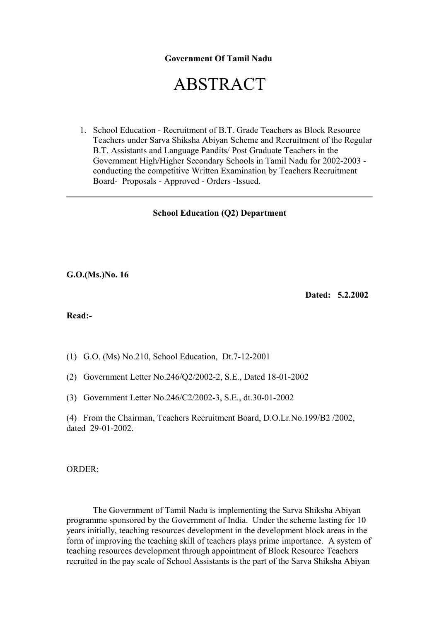### **Government Of Tamil Nadu**

# ABSTRACT

1. School Education - Recruitment of B.T. Grade Teachers as Block Resource Teachers under Sarva Shiksha Abiyan Scheme and Recruitment of the Regular B.T. Assistants and Language Pandits/ Post Graduate Teachers in the Government High/Higher Secondary Schools in Tamil Nadu for 2002-2003 conducting the competitive Written Examination by Teachers Recruitment Board- Proposals - Approved - Orders -Issued.

#### **School Education (Q2) Department**

**G.O.(Ms.)No. 16**

**Dated: 5.2.2002**

#### **Read:-**

- (1) G.O. (Ms) No.210, School Education, Dt.7-12-2001
- (2) Government Letter No.246/Q2/2002-2, S.E., Dated 18-01-2002
- (3) Government Letter No.246/C2/2002-3, S.E., dt.30-01-2002

(4) From the Chairman, Teachers Recruitment Board, D.O.Lr.No.199/B2 /2002, dated 29-01-2002.

#### ORDER:

 The Government of Tamil Nadu is implementing the Sarva Shiksha Abiyan programme sponsored by the Government of India. Under the scheme lasting for 10 years initially, teaching resources development in the development block areas in the form of improving the teaching skill of teachers plays prime importance. A system of teaching resources development through appointment of Block Resource Teachers recruited in the pay scale of School Assistants is the part of the Sarva Shiksha Abiyan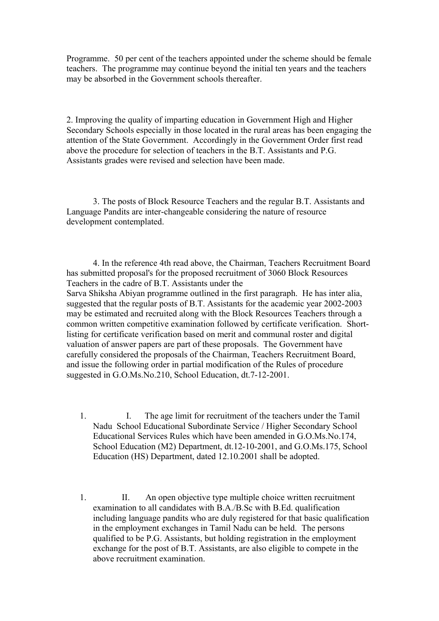Programme. 50 per cent of the teachers appointed under the scheme should be female teachers. The programme may continue beyond the initial ten years and the teachers may be absorbed in the Government schools thereafter.

2. Improving the quality of imparting education in Government High and Higher Secondary Schools especially in those located in the rural areas has been engaging the attention of the State Government. Accordingly in the Government Order first read above the procedure for selection of teachers in the B.T. Assistants and P.G. Assistants grades were revised and selection have been made.

 3. The posts of Block Resource Teachers and the regular B.T. Assistants and Language Pandits are inter-changeable considering the nature of resource development contemplated.

 4. In the reference 4th read above, the Chairman, Teachers Recruitment Board has submitted proposal's for the proposed recruitment of 3060 Block Resources Teachers in the cadre of B.T. Assistants under the Sarva Shiksha Abiyan programme outlined in the first paragraph. He has inter alia, suggested that the regular posts of B.T. Assistants for the academic year 2002-2003 may be estimated and recruited along with the Block Resources Teachers through a common written competitive examination followed by certificate verification. Shortlisting for certificate verification based on merit and communal roster and digital valuation of answer papers are part of these proposals. The Government have carefully considered the proposals of the Chairman, Teachers Recruitment Board, and issue the following order in partial modification of the Rules of procedure suggested in G.O.Ms.No.210, School Education, dt.7-12-2001.

- 1. I. The age limit for recruitment of the teachers under the Tamil Nadu School Educational Subordinate Service / Higher Secondary School Educational Services Rules which have been amended in G.O.Ms.No.174, School Education (M2) Department, dt.12-10-2001, and G.O.Ms.175, School Education (HS) Department, dated 12.10.2001 shall be adopted.
- 1. II. An open objective type multiple choice written recruitment examination to all candidates with B.A./B.Sc with B.Ed. qualification including language pandits who are duly registered for that basic qualification in the employment exchanges in Tamil Nadu can be held. The persons qualified to be P.G. Assistants, but holding registration in the employment exchange for the post of B.T. Assistants, are also eligible to compete in the above recruitment examination.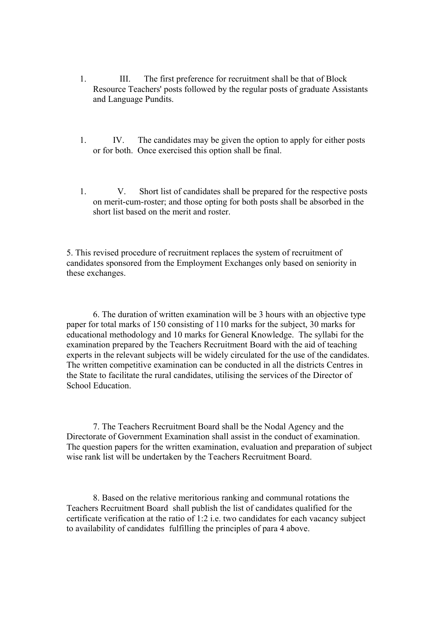- 1. III. The first preference for recruitment shall be that of Block Resource Teachers' posts followed by the regular posts of graduate Assistants and Language Pundits.
- 1. IV. The candidates may be given the option to apply for either posts or for both. Once exercised this option shall be final.
- 1. V. Short list of candidates shall be prepared for the respective posts on merit-cum-roster; and those opting for both posts shall be absorbed in the short list based on the merit and roster.

5. This revised procedure of recruitment replaces the system of recruitment of candidates sponsored from the Employment Exchanges only based on seniority in these exchanges.

 6. The duration of written examination will be 3 hours with an objective type paper for total marks of 150 consisting of 110 marks for the subject, 30 marks for educational methodology and 10 marks for General Knowledge. The syllabi for the examination prepared by the Teachers Recruitment Board with the aid of teaching experts in the relevant subjects will be widely circulated for the use of the candidates. The written competitive examination can be conducted in all the districts Centres in the State to facilitate the rural candidates, utilising the services of the Director of School Education.

 7. The Teachers Recruitment Board shall be the Nodal Agency and the Directorate of Government Examination shall assist in the conduct of examination. The question papers for the written examination, evaluation and preparation of subject wise rank list will be undertaken by the Teachers Recruitment Board.

 8. Based on the relative meritorious ranking and communal rotations the Teachers Recruitment Board shall publish the list of candidates qualified for the certificate verification at the ratio of 1:2 i.e. two candidates for each vacancy subject to availability of candidates fulfilling the principles of para 4 above.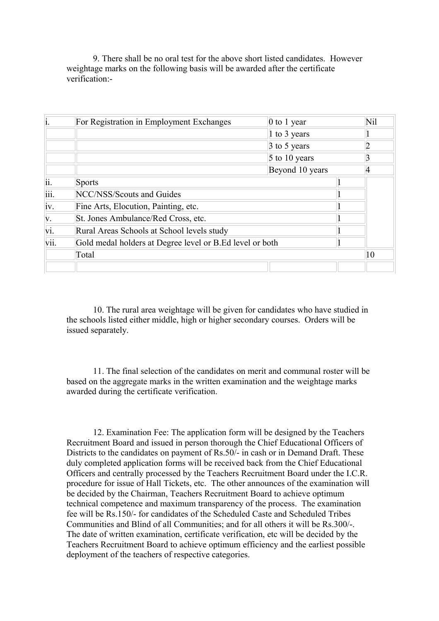9. There shall be no oral test for the above short listed candidates. However weightage marks on the following basis will be awarded after the certificate verification:-

| $\mathbf{i}$ | For Registration in Employment Exchanges                 | 0 to 1 year        |  | Nil |
|--------------|----------------------------------------------------------|--------------------|--|-----|
|              |                                                          | 1 to 3 years       |  |     |
|              |                                                          | $\beta$ to 5 years |  |     |
|              |                                                          | $5$ to 10 years    |  |     |
|              |                                                          | Beyond 10 years    |  |     |
| ii.          | <b>Sports</b>                                            |                    |  |     |
| iii.         | NCC/NSS/Scouts and Guides                                |                    |  |     |
| iv.          | Fine Arts, Elocution, Painting, etc.                     |                    |  |     |
| V.           | St. Jones Ambulance/Red Cross, etc.                      |                    |  |     |
| vi.          | Rural Areas Schools at School levels study               |                    |  |     |
| vii.         | Gold medal holders at Degree level or B.Ed level or both |                    |  |     |
|              | Total                                                    |                    |  | 10  |
|              |                                                          |                    |  |     |

 10. The rural area weightage will be given for candidates who have studied in the schools listed either middle, high or higher secondary courses. Orders will be issued separately.

 11. The final selection of the candidates on merit and communal roster will be based on the aggregate marks in the written examination and the weightage marks awarded during the certificate verification.

 12. Examination Fee: The application form will be designed by the Teachers Recruitment Board and issued in person thorough the Chief Educational Officers of Districts to the candidates on payment of Rs.50/- in cash or in Demand Draft. These duly completed application forms will be received back from the Chief Educational Officers and centrally processed by the Teachers Recruitment Board under the I.C.R. procedure for issue of Hall Tickets, etc. The other announces of the examination will be decided by the Chairman, Teachers Recruitment Board to achieve optimum technical competence and maximum transparency of the process. The examination fee will be Rs.150/- for candidates of the Scheduled Caste and Scheduled Tribes Communities and Blind of all Communities; and for all others it will be Rs.300/-. The date of written examination, certificate verification, etc will be decided by the Teachers Recruitment Board to achieve optimum efficiency and the earliest possible deployment of the teachers of respective categories.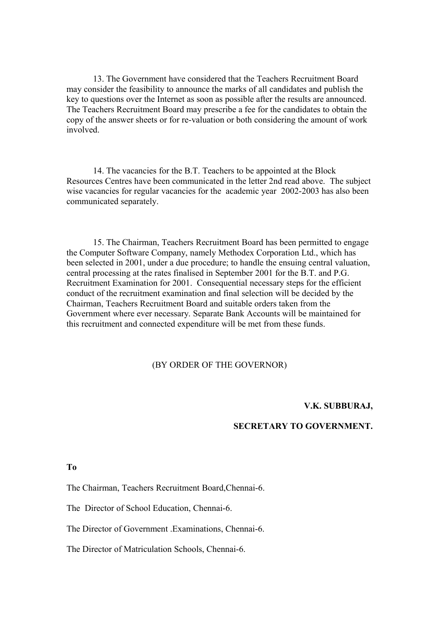13. The Government have considered that the Teachers Recruitment Board may consider the feasibility to announce the marks of all candidates and publish the key to questions over the Internet as soon as possible after the results are announced. The Teachers Recruitment Board may prescribe a fee for the candidates to obtain the copy of the answer sheets or for re-valuation or both considering the amount of work involved.

 14. The vacancies for the B.T. Teachers to be appointed at the Block Resources Centres have been communicated in the letter 2nd read above. The subject wise vacancies for regular vacancies for the academic year 2002-2003 has also been communicated separately.

 15. The Chairman, Teachers Recruitment Board has been permitted to engage the Computer Software Company, namely Methodex Corporation Ltd., which has been selected in 2001, under a due procedure; to handle the ensuing central valuation, central processing at the rates finalised in September 2001 for the B.T. and P.G. Recruitment Examination for 2001. Consequential necessary steps for the efficient conduct of the recruitment examination and final selection will be decided by the Chairman, Teachers Recruitment Board and suitable orders taken from the Government where ever necessary. Separate Bank Accounts will be maintained for this recruitment and connected expenditure will be met from these funds.

#### (BY ORDER OF THE GOVERNOR)

#### **V.K. SUBBURAJ,**

## **SECRETARY TO GOVERNMENT.**

#### **To**

The Chairman, Teachers Recruitment Board,Chennai-6.

The Director of School Education, Chennai-6.

The Director of Government .Examinations, Chennai-6.

The Director of Matriculation Schools, Chennai-6.